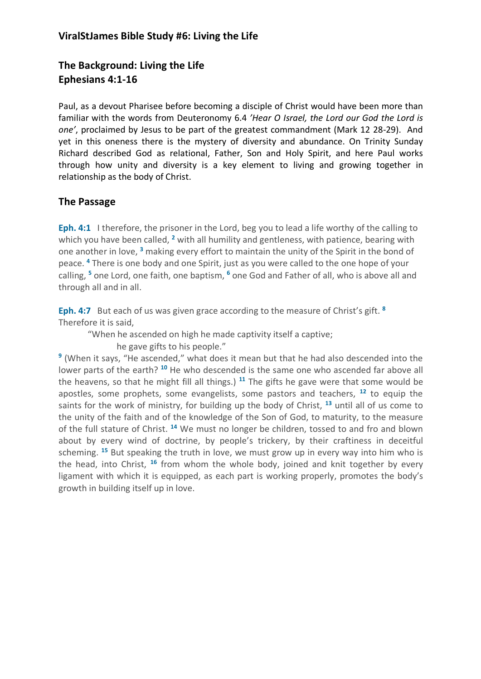# **The Background: Living the Life Ephesians 4:1-16**

Paul, as a devout Pharisee before becoming a disciple of Christ would have been more than familiar with the words from Deuteronomy 6.4 *'Hear O Israel, the Lord our God the Lord is one'*, proclaimed by Jesus to be part of the greatest commandment (Mark 12 28-29). And yet in this oneness there is the mystery of diversity and abundance. On Trinity Sunday Richard described God as relational, Father, Son and Holy Spirit, and here Paul works through how unity and diversity is a key element to living and growing together in relationship as the body of Christ.

## **The Passage**

**Eph. 4:1** I therefore, the prisoner in the Lord, beg you to lead a life worthy of the calling to which you have been called, **<sup>2</sup>** with all humility and gentleness, with patience, bearing with one another in love, **<sup>3</sup>** making every effort to maintain the unity of the Spirit in the bond of peace. **<sup>4</sup>** There is one body and one Spirit, just as you were called to the one hope of your calling, **<sup>5</sup>** one Lord, one faith, one baptism, **<sup>6</sup>** one God and Father of all, who is above all and through all and in all.

**Eph. 4:7** But each of us was given grace according to the measure of Christ's gift. **<sup>8</sup>** Therefore it is said,

"When he ascended on high he made captivity itself a captive;

he gave gifts to his people."

**<sup>9</sup>** (When it says, "He ascended," what does it mean but that he had also descended into the lower parts of the earth? **<sup>10</sup>** He who descended is the same one who ascended far above all the heavens, so that he might fill all things.) **<sup>11</sup>** The gifts he gave were that some would be apostles, some prophets, some evangelists, some pastors and teachers, **<sup>12</sup>** to equip the saints for the work of ministry, for building up the body of Christ, **<sup>13</sup>** until all of us come to the unity of the faith and of the knowledge of the Son of God, to maturity, to the measure of the full stature of Christ. **<sup>14</sup>** We must no longer be children, tossed to and fro and blown about by every wind of doctrine, by people's trickery, by their craftiness in deceitful scheming. **<sup>15</sup>** But speaking the truth in love, we must grow up in every way into him who is the head, into Christ, **<sup>16</sup>** from whom the whole body, joined and knit together by every ligament with which it is equipped, as each part is working properly, promotes the body's growth in building itself up in love.